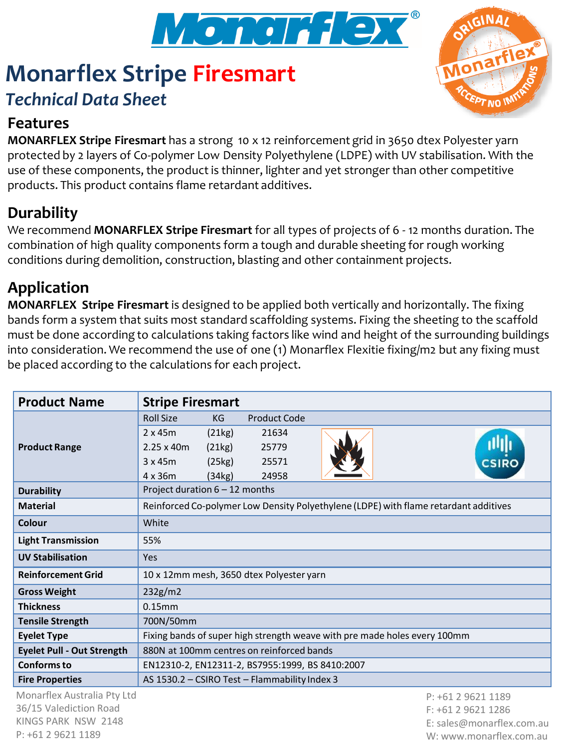

# **Monarflex Stripe Firesmart** *Technical Data Sheet*



## **Features**

**MONARFLEX Stripe Firesmart** has a strong 10 x 12 reinforcement grid in 3650 dtex Polyester yarn protected by 2 layers of Co-polymer Low Density Polyethylene (LDPE) with UV stabilisation. With the use of these components, the product is thinner, lighter and yet stronger than other competitive products. This product contains flame retardant additives.

# **Durability**

We recommend **MONARFLEX Stripe Firesmart** for all types of projects of 6 - 12 months duration. The combination of high quality components form a tough and durable sheeting for rough working conditions during demolition, construction, blasting and other containment projects.

# **Application**

**MONARFLEX Stripe Firesmart** is designed to be applied both vertically and horizontally. The fixing bands form a system that suits most standard scaffolding systems. Fixing the sheeting to the scaffold must be done according to calculations taking factors like wind and height of the surrounding buildings into consideration. We recommend the use of one (1) Monarflex Flexitie fixing/m2 but any fixing must be placed according to the calculations for each project.

| <b>Product Name</b>                           | <b>Stripe Firesmart</b>                                                              |        |                     |                    |
|-----------------------------------------------|--------------------------------------------------------------------------------------|--------|---------------------|--------------------|
| <b>Product Range</b>                          | <b>Roll Size</b>                                                                     | KG     | <b>Product Code</b> |                    |
|                                               | $2 \times 45m$                                                                       | (21kg) | 21634               | <b>CSIRO</b>       |
|                                               | $2.25 \times 40m$                                                                    | (21kg) | 25779               |                    |
|                                               | 3x45m                                                                                | (25kg) | 25571               |                    |
|                                               | $4 \times 36m$                                                                       | (34kg) | 24958               |                    |
| <b>Durability</b>                             | Project duration $6 - 12$ months                                                     |        |                     |                    |
| <b>Material</b>                               | Reinforced Co-polymer Low Density Polyethylene (LDPE) with flame retardant additives |        |                     |                    |
| Colour                                        | White                                                                                |        |                     |                    |
| <b>Light Transmission</b>                     | 55%                                                                                  |        |                     |                    |
| <b>UV Stabilisation</b>                       | <b>Yes</b>                                                                           |        |                     |                    |
| <b>Reinforcement Grid</b>                     | 10 x 12mm mesh, 3650 dtex Polyester yarn                                             |        |                     |                    |
| <b>Gross Weight</b>                           | 232g/m2                                                                              |        |                     |                    |
| <b>Thickness</b>                              | 0.15mm                                                                               |        |                     |                    |
| <b>Tensile Strength</b>                       | 700N/50mm                                                                            |        |                     |                    |
| <b>Eyelet Type</b>                            | Fixing bands of super high strength weave with pre made holes every 100mm            |        |                     |                    |
| <b>Eyelet Pull - Out Strength</b>             | 880N at 100mm centres on reinforced bands                                            |        |                     |                    |
| <b>Conforms to</b>                            | EN12310-2, EN12311-2, BS7955:1999, BS 8410:2007                                      |        |                     |                    |
| <b>Fire Properties</b>                        | AS 1530.2 - CSIRO Test - Flammability Index 3                                        |        |                     |                    |
| Monarflex Australia Pty Ltd                   |                                                                                      |        |                     | P: +61 2 9621 1189 |
| 36/15 Valediction Road<br>VINCE DADY NEW 2110 |                                                                                      |        |                     | $F: +61296211286$  |

KINGS PARK NSW 2148 P: +61 2 9621 1189

E: sales@monarflex.com.au W: www.monarflex.com.au